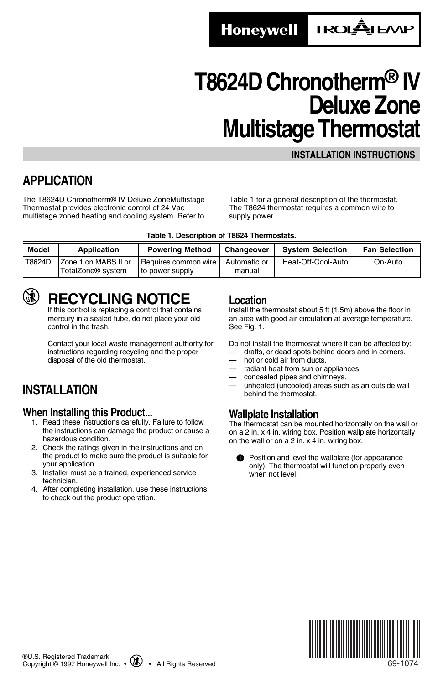**Honeywell** 

**TROLATEAN** 

# **T8624D Chronotherm® IV Deluxe Zone Multistage Thermostat**

#### **INSTALLATION INSTRUCTIONS**

## **APPLICATION**

The T8624D Chronotherm® IV Deluxe ZoneMultistage Thermostat provides electronic control of 24 Vac multistage zoned heating and cooling system. Refer to Table 1 for a general description of the thermostat. The T8624 thermostat requires a common wire to supply power.

|  |  |  | Table 1. Description of T8624 Thermostats. |
|--|--|--|--------------------------------------------|
|--|--|--|--------------------------------------------|

| Model  | Application                                           | <b>Powering Method</b>                  | Changeover             | <b>System Selection</b> | <b>Fan Selection</b> |
|--------|-------------------------------------------------------|-----------------------------------------|------------------------|-------------------------|----------------------|
| T8624D | Zone 1 on MABS II or<br>TotalZone <sup>®</sup> system | Requires common wire<br>to power supply | Automatic or<br>manual | Heat-Off-Cool-Auto      | On-Auto              |

## **RECYCLING NOTICE**

If this control is replacing a control that contains mercury in a sealed tube, do not place your old control in the trash.

Contact your local waste management authority for instructions regarding recycling and the proper disposal of the old thermostat.

## **INSTALLATION**

#### **When Installing this Product...**

- 1. Read these instructions carefully. Failure to follow the instructions can damage the product or cause a hazardous condition.
- 2. Check the ratings given in the instructions and on the product to make sure the product is suitable for your application.
- 3. Installer must be a trained, experienced service technician.
- 4. After completing installation, use these instructions to check out the product operation.

#### **Location**

Install the thermostat about 5 ft (1.5m) above the floor in an area with good air circulation at average temperature. See Fig. 1.

Do not install the thermostat where it can be affected by:

- drafts, or dead spots behind doors and in corners. hot or cold air from ducts.
- 
- radiant heat from sun or appliances.
- concealed pipes and chimneys.
- unheated (uncooled) areas such as an outside wall behind the thermostat.

### **Wallplate Installation**

The thermostat can be mounted horizontally on the wall or on a 2 in. x 4 in. wiring box. Position wallplate horizontally on the wall or on a 2 in. x 4 in. wiring box.

**O** Position and level the wallplate (for appearance only). The thermostat will function properly even when not level.



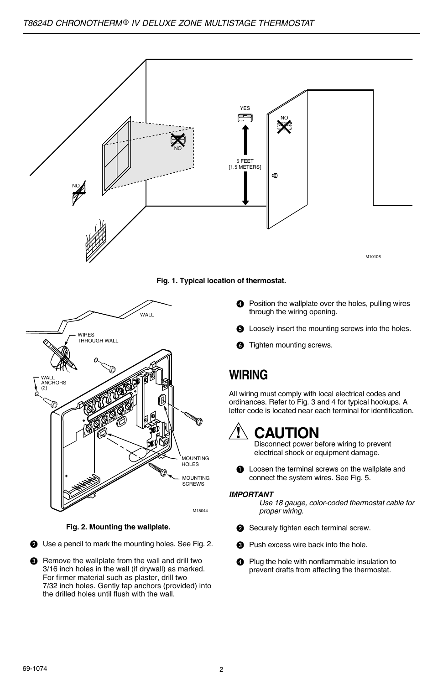

#### **Fig. 1. Typical location of thermostat.**



**Fig. 2. Mounting the wallplate.**

- **2** Use a pencil to mark the mounting holes. See Fig. 2.
- **8** Remove the wallplate from the wall and drill two 3/16 inch holes in the wall (if drywall) as marked. For firmer material such as plaster, drill two 7/32 inch holes. Gently tap anchors (provided) into the drilled holes until flush with the wall.
- **<sup>4</sup>** Position the wallplate over the holes, pulling wires through the wiring opening.
- $\bigcirc$  Loosely insert the mounting screws into the holes.
- **6** Tighten mounting screws.

## **WIRING**

All wiring must comply with local electrical codes and ordinances. Refer to Fig. 3 and 4 for typical hookups. A letter code is located near each terminal for identification.

## **CAUTION**

Disconnect power before wiring to prevent electrical shock or equipment damage.

**O** Loosen the terminal screws on the wallplate and connect the system wires. See Fig. 5.

#### **IMPORTANT**

Use 18 gauge, color-coded thermostat cable for proper wiring.

- Securely tighten each terminal screw.
- **8** Push excess wire back into the hole.
- **2** Plug the hole with nonflammable insulation to prevent drafts from affecting the thermostat.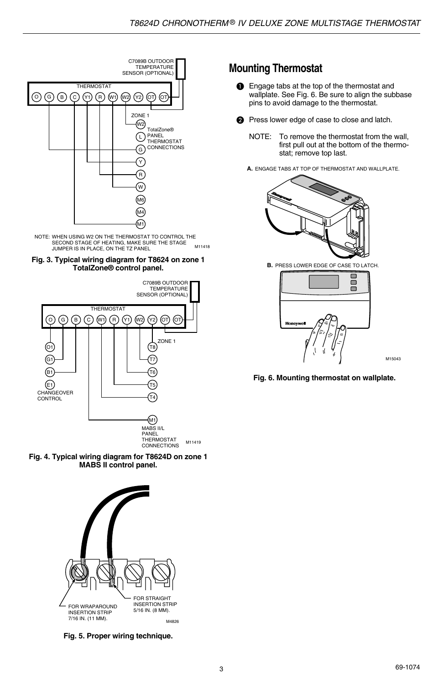

M11418 NOTE: WHEN USING W2 ON THE THERMOSTAT TO CONTROL THE SECOND STAGE OF HEATING, MAKE SURE THE STAGE JUMPER IS IN PLACE, ON THE TZ PANEL









**Fig. 5. Proper wiring technique.**

### **Mounting Thermostat**

- **O** Engage tabs at the top of the thermostat and wallplate. See Fig. 6. Be sure to align the subbase pins to avoid damage to the thermostat.
- **2** Press lower edge of case to close and latch.
	- NOTE: To remove the thermostat from the wall, first pull out at the bottom of the thermostat; remove top last.
	- **A.** ENGAGE TABS AT TOP OF THERMOSTAT AND WALLPLATE.



**B.** PRESS LOWER EDGE OF CASE TO LATCH.



M15043

**Fig. 6. Mounting thermostat on wallplate.**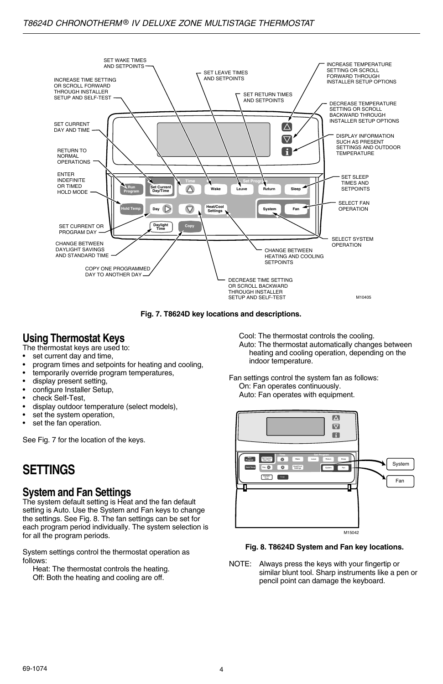

**Fig. 7. T8624D key locations and descriptions.**

## **Using Thermostat Keys**

The thermostat keys are used to:

- set current day and time,
- program times and setpoints for heating and cooling,
- temporarily override program temperatures,
- display present setting,
- configure Installer Setup,
- check Self-Test.
- display outdoor temperature (select models),
- set the system operation,
- set the fan operation.

See Fig. 7 for the location of the keys.

## **SETTINGS**

### **System and Fan Settings**

The system default setting is Heat and the fan default setting is Auto. Use the System and Fan keys to change the settings. See Fig. 8. The fan settings can be set for each program period individually. The system selection is for all the program periods.

System settings control the thermostat operation as follows:

Heat: The thermostat controls the heating. Off: Both the heating and cooling are off.

Cool: The thermostat controls the cooling. Auto: The thermostat automatically changes between heating and cooling operation, depending on the indoor temperature.

Fan settings control the system fan as follows: On: Fan operates continuously. Auto: Fan operates with equipment.



#### **Fig. 8. T8624D System and Fan key locations.**

NOTE: Always press the keys with your fingertip or similar blunt tool. Sharp instruments like a pen or pencil point can damage the keyboard.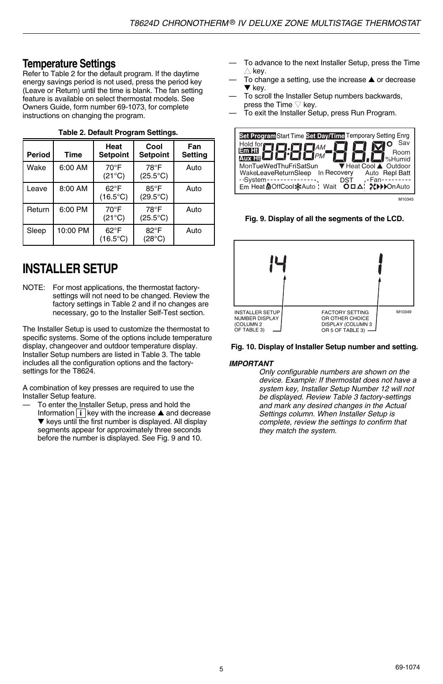### **Temperature Settings**

Refer to Table 2 for the default program. If the daytime energy savings period is not used, press the period key (Leave or Return) until the time is blank. The fan setting feature is available on select thermostat models. See Owners Guide, form number 69-1073, for complete instructions on changing the program.

| Period | Time     | Heat<br><b>Setpoint</b>            | Cool<br><b>Setpoint</b>             | Fan<br><b>Setting</b> |
|--------|----------|------------------------------------|-------------------------------------|-----------------------|
| Wake   | 6:00 AM  | $70^{\circ}$ F<br>$(21^{\circ}C)$  | 78°F<br>$(25.5^{\circ}C)$           | Auto                  |
| Leave  | 8:00 AM  | $62^{\circ}F$<br>$(16.5^{\circ}C)$ | $85^{\circ}$ F<br>$(29.5^{\circ}C)$ | Auto                  |
| Return | 6:00 PM  | $70^{\circ}$ F<br>$(21^{\circ}C)$  | 78°F<br>$(25.5^{\circ}C)$           | Auto                  |
| Sleep  | 10:00 PM | $62^{\circ}F$<br>$(16.5^{\circ}C)$ | $82^{\circ}$ F<br>$(28^{\circ}C)$   | Auto                  |

#### **Table 2. Default Program Settings.**

## **INSTALLER SETUP**

NOTE: For most applications, the thermostat factorysettings will not need to be changed. Review the factory settings in Table 2 and if no changes are necessary, go to the Installer Self-Test section.

The Installer Setup is used to customize the thermostat to specific systems. Some of the options include temperature display, changeover and outdoor temperature display. Installer Setup numbers are listed in Table 3. The table includes all the configuration options and the factorysettings for the T8624.

A combination of key presses are required to use the Installer Setup feature.

To enter the Installer Setup, press and hold the Information **i** key with the increase ▲ and decrease ▼ keys until the first number is displayed. All display segments appear for approximately three seconds before the number is displayed. See Fig. 9 and 10.

- To advance to the next Installer Setup, press the Time  $\triangle$  key.
- To change a setting, use the increase ▲ or decrease ▼ key.
- To scroll the Installer Setup numbers backwards. press the Time  $\nabla$  key.
	- To exit the Installer Setup, press Run Program.



**Fig. 9. Display of all the segments of the LCD.**





#### **IMPORTANT**

Only configurable numbers are shown on the device. Example: If thermostat does not have a system key, Installer Setup Number 12 will not be displayed. Review Table 3 factory-settings and mark any desired changes in the Actual Settings column. When Installer Setup is complete, review the settings to confirm that they match the system.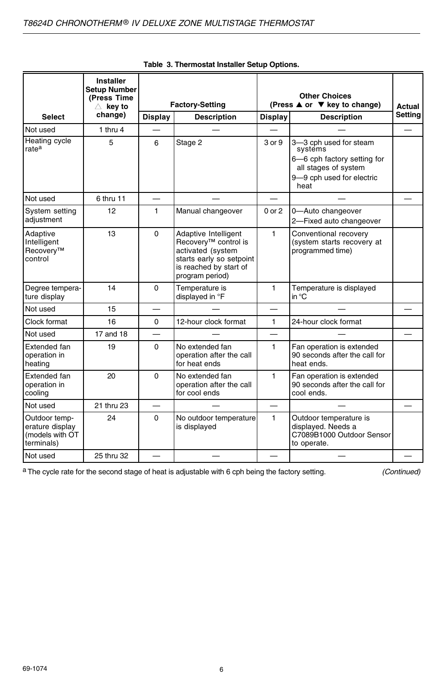|                                                                   | <b>Installer</b><br><b>Setup Number</b><br>(Press Time<br>$\triangle$ key to | <b>Factory-Setting</b>               |                                                                                                                                                        | <b>Other Choices</b><br>(Press ▲ or ▼ key to change) |                                                                                                                               | Actual |
|-------------------------------------------------------------------|------------------------------------------------------------------------------|--------------------------------------|--------------------------------------------------------------------------------------------------------------------------------------------------------|------------------------------------------------------|-------------------------------------------------------------------------------------------------------------------------------|--------|
| <b>Select</b>                                                     | change)                                                                      | <b>Display</b><br><b>Description</b> |                                                                                                                                                        |                                                      | <b>Display</b><br><b>Description</b>                                                                                          |        |
| Not used                                                          | 1 thru $4$                                                                   |                                      |                                                                                                                                                        |                                                      |                                                                                                                               |        |
| Heating cycle<br>rate <sup>a</sup>                                | 5                                                                            | 6                                    | Stage 2                                                                                                                                                | 3 or 9                                               | 3-3 cph used for steam<br>systems<br>6-6 cph factory setting for<br>all stages of system<br>9-9 cph used for electric<br>heat |        |
| Not used                                                          | 6 thru 11                                                                    | $\overline{\phantom{0}}$             |                                                                                                                                                        |                                                      |                                                                                                                               |        |
| System setting<br>adjustment                                      | 12                                                                           | 1                                    | Manual changeover                                                                                                                                      | $0$ or $2$                                           | 0-Auto changeover<br>2-Fixed auto changeover                                                                                  |        |
| Adaptive<br>Intelligent<br>Recovery <sup>™</sup><br>control       | 13                                                                           | $\Omega$                             | Adaptive Intelligent<br>Recoverv <sup>™</sup> control is<br>activated (system<br>starts early so setpoint<br>is reached by start of<br>program period) | 1                                                    | Conventional recovery<br>(system starts recovery at<br>programmed time)                                                       |        |
| Degree tempera-<br>ture display                                   | 14                                                                           | $\Omega$                             | Temperature is<br>displayed in °F                                                                                                                      | 1                                                    | Temperature is displayed<br>in $^{\circ}$ C                                                                                   |        |
| Not used                                                          | 15                                                                           |                                      |                                                                                                                                                        |                                                      |                                                                                                                               |        |
| Clock format                                                      | 16                                                                           | 0                                    | 12-hour clock format                                                                                                                                   | $\mathbf{1}$                                         | 24-hour clock format                                                                                                          |        |
| Not used                                                          | 17 and 18                                                                    | $\overline{\phantom{0}}$             |                                                                                                                                                        | $\equiv$                                             |                                                                                                                               |        |
| Extended fan<br>operation in<br>heating                           | 19                                                                           | $\Omega$                             | No extended fan<br>operation after the call<br>for heat ends                                                                                           | 1                                                    | Fan operation is extended<br>90 seconds after the call for<br>heat ends.                                                      |        |
| Extended fan<br>operation in<br>cooling                           | 20                                                                           | $\Omega$                             | No extended fan<br>operation after the call<br>for cool ends                                                                                           | 1                                                    | Fan operation is extended<br>90 seconds after the call for<br>cool ends.                                                      |        |
| Not used                                                          | 21 thru 23                                                                   | $\overline{\phantom{0}}$             |                                                                                                                                                        | —                                                    |                                                                                                                               |        |
| Outdoor temp-<br>erature display<br>(models with OT<br>terminals) | 24                                                                           | 0                                    | No outdoor temperature<br>is displayed                                                                                                                 | $\mathbf{1}$                                         | Outdoor temperature is<br>displayed. Needs a<br>C7089B1000 Outdoor Sensor<br>to operate.                                      |        |
| Not used                                                          | 25 thru 32                                                                   |                                      |                                                                                                                                                        |                                                      |                                                                                                                               |        |

|  | Table 3. Thermostat Installer Setup Options. |  |  |
|--|----------------------------------------------|--|--|
|  |                                              |  |  |

a The cycle rate for the second stage of heat is adjustable with 6 cph being the factory setting. (Continued)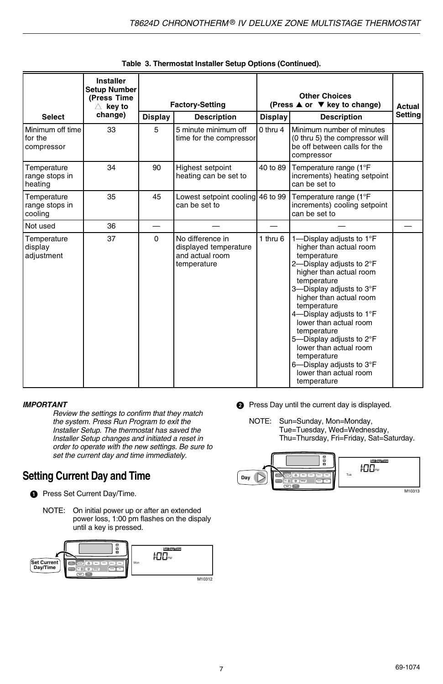|                                           | Installer<br><b>Setup Number</b><br>(Press Time<br>$\triangle~$ key to |          | <b>Factory-Setting</b>                                                      |              | <b>Other Choices</b><br>(Press ▲ or ▼ key to change)                                                                                                                                                                                                                                                                                                                                                                                              |         |  |
|-------------------------------------------|------------------------------------------------------------------------|----------|-----------------------------------------------------------------------------|--------------|---------------------------------------------------------------------------------------------------------------------------------------------------------------------------------------------------------------------------------------------------------------------------------------------------------------------------------------------------------------------------------------------------------------------------------------------------|---------|--|
| <b>Select</b>                             | change)                                                                | Display  | <b>Description</b>                                                          | Display      | <b>Description</b>                                                                                                                                                                                                                                                                                                                                                                                                                                | Setting |  |
| Minimum off time<br>for the<br>compressor | 33                                                                     | 5        | 5 minute minimum off<br>time for the compressor                             | $0$ thru $4$ | Minimum number of minutes<br>(0 thru 5) the compressor will<br>be off between calls for the<br>compressor                                                                                                                                                                                                                                                                                                                                         |         |  |
| Temperature<br>range stops in<br>heating  | 34                                                                     | 90       | Highest setpoint<br>heating can be set to                                   | 40 to 89     | Temperature range (1°F<br>increments) heating setpoint<br>can be set to                                                                                                                                                                                                                                                                                                                                                                           |         |  |
| Temperature<br>range stops in<br>cooling  | 35                                                                     | 45       | Lowest setpoint cooling 46 to 99<br>can be set to                           |              | Temperature range (1°F<br>increments) cooling setpoint<br>can be set to                                                                                                                                                                                                                                                                                                                                                                           |         |  |
| Not used                                  | 36                                                                     |          |                                                                             |              |                                                                                                                                                                                                                                                                                                                                                                                                                                                   |         |  |
| Temperature<br>display<br>adjustment      | 37                                                                     | $\Omega$ | No difference in<br>displayed temperature<br>and actual room<br>temperature | 1 thru $6$   | 1-Display adjusts to $1^{\circ}$ F<br>higher than actual room<br>temperature<br>2-Display adjusts to 2°F<br>higher than actual room<br>temperature<br>3-Display adjusts to 3°F<br>higher than actual room<br>temperature<br>4-Display adjusts to $1^{\circ}$ F<br>lower than actual room<br>temperature<br>5-Display adjusts to 2°F<br>lower than actual room<br>temperature<br>6-Display adjusts to 3°F<br>lower than actual room<br>temperature |         |  |

#### **IMPORTANT**

Review the settings to confirm that they match the system. Press Run Program to exit the Installer Setup. The thermostat has saved the Installer Setup changes and initiated a reset in order to operate with the new settings. Be sure to set the current day and time immediately.

### **Setting Current Day and Time**

- **O** Press Set Current Day/Time.
	- NOTE: On initial power up or after an extended power loss, 1:00 pm flashes on the dispaly until a key is pressed.



- **2** Press Day until the current day is displayed.
	- NOTE: Sun=Sunday, Mon=Monday, Tue=Tuesday, Wed=Wednesday, Thu=Thursday, Fri=Friday, Sat=Saturday.

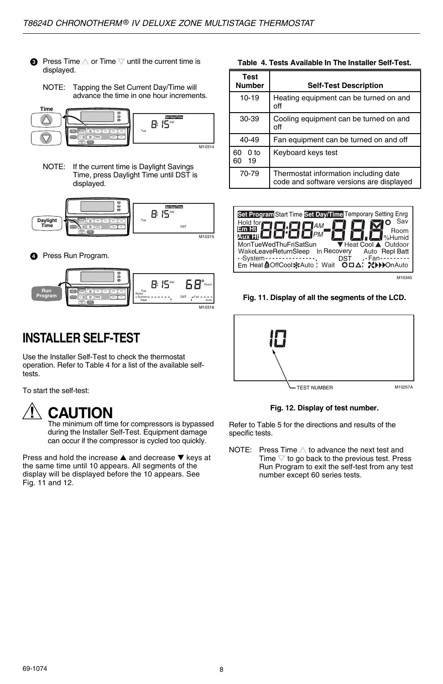- $\bullet$  Press Time  $\triangle$  or Time  $\triangledown$  until the current time is displayed.
	- NOTE: Tapping the Set Current Day/Time will advance the time in one hour increments.



NOTE: If the current time is Daylight Savings Time, press Daylight Time until DST is displayed.



**<sup>O</sup>** Press Run Program.



## **INSTALLER SELF-TEST**

Use the Installer Self-Test to check the thermostat operation. Refer to Table 4 for a list of the available selftests.

To start the self-test:

## **CAUTION**

The minimum off time for compressors is bypassed during the Installer Self-Test. Equipment damage can occur if the compressor is cycled too quickly.

Press and hold the increase ▲ and decrease ▼ keys at the same time until 10 appears. All segments of the display will be displayed before the 10 appears. See Fig. 11 and 12.

**Table 4. Tests Available In The Installer Self-Test.**

| Test<br><b>Number</b>             | <b>Self-Test Description</b>                                                      |
|-----------------------------------|-----------------------------------------------------------------------------------|
| $10 - 19$                         | Heating equipment can be turned on and<br>off                                     |
| 30-39                             | Cooling equipment can be turned on and<br>off                                     |
| 40-49                             | Fan equipment can be turned on and off                                            |
| 0 <sub>to</sub><br>60<br>19<br>60 | Keyboard keys test                                                                |
| 70-79                             | Thermostat information including date<br>code and software versions are displayed |



M10345

Fig. 11. Display of all the segments of the LCD.



**Fig. 12. Display of test number.**

Refer to Table 5 for the directions and results of the specific tests.

NOTE: Press Time  $\triangle$  to advance the next test and Time  $\nabla$  to go back to the previous test. Press Run Program to exit the self-test from any test number except 60 series tests.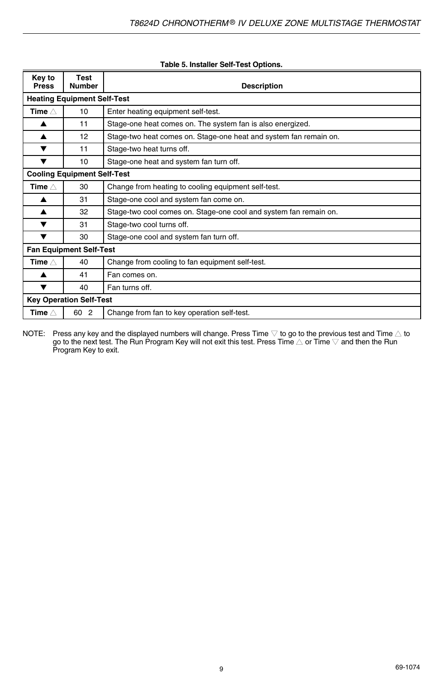| Key to<br><b>Press</b>             | Test<br><b>Number</b>              | <b>Description</b>                                                |  |  |  |  |
|------------------------------------|------------------------------------|-------------------------------------------------------------------|--|--|--|--|
|                                    | <b>Heating Equipment Self-Test</b> |                                                                   |  |  |  |  |
| Time $\wedge$                      | 10                                 | Enter heating equipment self-test.                                |  |  |  |  |
| ▲                                  | 11                                 | Stage-one heat comes on. The system fan is also energized.        |  |  |  |  |
|                                    | 12                                 | Stage-two heat comes on. Stage-one heat and system fan remain on. |  |  |  |  |
|                                    | 11                                 | Stage-two heat turns off.                                         |  |  |  |  |
| ▼                                  | 10                                 | Stage-one heat and system fan turn off.                           |  |  |  |  |
| <b>Cooling Equipment Self-Test</b> |                                    |                                                                   |  |  |  |  |
| Time $\wedge$                      | 30                                 | Change from heating to cooling equipment self-test.               |  |  |  |  |
|                                    | 31                                 | Stage-one cool and system fan come on.                            |  |  |  |  |
| ▲                                  | 32                                 | Stage-two cool comes on. Stage-one cool and system fan remain on. |  |  |  |  |
|                                    | 31                                 | Stage-two cool turns off.                                         |  |  |  |  |
| ▼                                  | 30                                 | Stage-one cool and system fan turn off.                           |  |  |  |  |
|                                    | <b>Fan Equipment Self-Test</b>     |                                                                   |  |  |  |  |
| Time $\wedge$                      | 40                                 | Change from cooling to fan equipment self-test.                   |  |  |  |  |
|                                    | 41                                 | Fan comes on.                                                     |  |  |  |  |
| v                                  | 40                                 | Fan turns off.                                                    |  |  |  |  |
|                                    | <b>Key Operation Self-Test</b>     |                                                                   |  |  |  |  |
| Time $\wedge$                      | 60 2                               | Change from fan to key operation self-test.                       |  |  |  |  |

#### **Table 5. Installer Self-Test Options.**

NOTE: Press any key and the displayed numbers will change. Press Time  $\bigtriangledown$  to go to the previous test and Time  $\bigtriangleup$  to go to the next test. The Run Program Key will not exit this test. Press Time  $\bigtriangleup$  or Time  $\bigtriangled$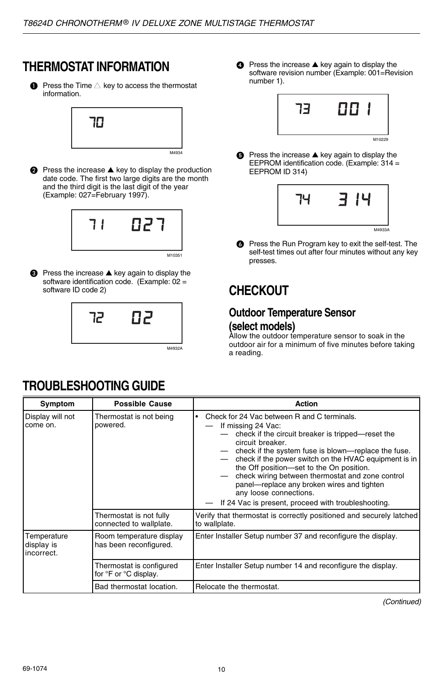## **THERMOSTAT INFORMATION**

 $\bullet$  Press the Time  $\triangle$  key to access the thermostat information.



**●** Press the increase ▲ key to display the production date code. The first two large digits are the month and the third digit is the last digit of the year (Example: 027=February 1997).



**◯** Press the increase ▲ key again to display the software identification code. (Example: 02 = software ID code 2)



● Press the increase ▲ key again to display the software revision number (Example: 001=Revision number 1).



**■** Press the increase **▲** key again to display the EEPROM identification code. (Example: 314 = EEPROM ID 314)



**O** Press the Run Program key to exit the self-test. The self-test times out after four minutes without any key presses.

## **CHECKOUT**

### **Outdoor Temperature Sensor (select models)**

Allow the outdoor temperature sensor to soak in the outdoor air for a minimum of five minutes before taking a reading.

## **TROUBLESHOOTING GUIDE**

| Symptom                                 | <b>Possible Cause</b>                              | Action                                                                                                                                                                                                                                                                                                                                                                                                                                                                                    |
|-----------------------------------------|----------------------------------------------------|-------------------------------------------------------------------------------------------------------------------------------------------------------------------------------------------------------------------------------------------------------------------------------------------------------------------------------------------------------------------------------------------------------------------------------------------------------------------------------------------|
| Display will not<br>come on.            | Thermostat is not being<br>powered.                | Check for 24 Vac between R and C terminals.<br>If missing 24 Vac:<br>check if the circuit breaker is tripped—reset the<br>circuit breaker.<br>check if the system fuse is blown—replace the fuse.<br>check if the power switch on the HVAC equipment is in<br>the Off position-set to the On position.<br>check wiring between thermostat and zone control<br>panel-replace any broken wires and tighten<br>any loose connections.<br>If 24 Vac is present, proceed with troubleshooting. |
|                                         | Thermostat is not fully<br>connected to wallplate. | Verify that thermostat is correctly positioned and securely latched<br>to wallplate.                                                                                                                                                                                                                                                                                                                                                                                                      |
| Temperature<br>display is<br>incorrect. | Room temperature display<br>has been reconfigured. | Enter Installer Setup number 37 and reconfigure the display.                                                                                                                                                                                                                                                                                                                                                                                                                              |
|                                         | Thermostat is configured<br>for °F or °C display.  | Enter Installer Setup number 14 and reconfigure the display.                                                                                                                                                                                                                                                                                                                                                                                                                              |
|                                         | Bad thermostat location.                           | Relocate the thermostat.                                                                                                                                                                                                                                                                                                                                                                                                                                                                  |

(Continued)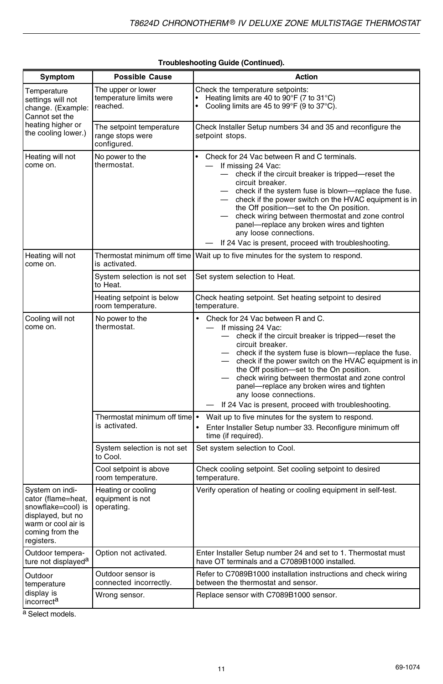| Symptom                                                                                                                                  | <b>Possible Cause</b>                                       | Action                                                                                                                                                                                                                                                                                                                                                                                                                                                                                             |
|------------------------------------------------------------------------------------------------------------------------------------------|-------------------------------------------------------------|----------------------------------------------------------------------------------------------------------------------------------------------------------------------------------------------------------------------------------------------------------------------------------------------------------------------------------------------------------------------------------------------------------------------------------------------------------------------------------------------------|
| Temperature<br>settings will not<br>change. (Example:<br>Cannot set the<br>heating higher or<br>the cooling lower.)                      | The upper or lower<br>temperature limits were<br>reached.   | Check the temperature setpoints:<br>Heating limits are 40 to 90°F (7 to 31°C)<br>$\ddot{\phantom{0}}$<br>Cooling limits are 45 to 99°F (9 to 37°C).                                                                                                                                                                                                                                                                                                                                                |
|                                                                                                                                          | The setpoint temperature<br>range stops were<br>configured. | Check Installer Setup numbers 34 and 35 and reconfigure the<br>setpoint stops.                                                                                                                                                                                                                                                                                                                                                                                                                     |
| Heating will not<br>come on.                                                                                                             | No power to the<br>thermostat.                              | Check for 24 Vac between R and C terminals.<br>If missing 24 Vac:<br>- check if the circuit breaker is tripped-reset the<br>circuit breaker.<br>- check if the system fuse is blown-replace the fuse.<br>- check if the power switch on the HVAC equipment is in<br>the Off position-set to the On position.<br>check wiring between thermostat and zone control<br>panel-replace any broken wires and tighten<br>any loose connections.<br>If 24 Vac is present, proceed with troubleshooting.    |
| Heating will not<br>come on.                                                                                                             | Thermostat minimum off time<br>is activated.                | Wait up to five minutes for the system to respond.                                                                                                                                                                                                                                                                                                                                                                                                                                                 |
|                                                                                                                                          | System selection is not set<br>to Heat.                     | Set system selection to Heat.                                                                                                                                                                                                                                                                                                                                                                                                                                                                      |
|                                                                                                                                          | Heating setpoint is below<br>room temperature.              | Check heating setpoint. Set heating setpoint to desired<br>temperature.                                                                                                                                                                                                                                                                                                                                                                                                                            |
| Cooling will not<br>come on.                                                                                                             | No power to the<br>thermostat.                              | Check for 24 Vac between R and C.<br>$\bullet$<br>If missing 24 Vac:<br>- check if the circuit breaker is tripped-reset the<br>circuit breaker.<br>- check if the system fuse is blown-replace the fuse.<br>- check if the power switch on the HVAC equipment is in<br>the Off position-set to the On position.<br>check wiring between thermostat and zone control<br>panel-replace any broken wires and tighten<br>any loose connections.<br>If 24 Vac is present, proceed with troubleshooting. |
|                                                                                                                                          | Thermostat minimum off time<br>is activated.                | Wait up to five minutes for the system to respond.<br>Enter Installer Setup number 33. Reconfigure minimum off<br>$\bullet$<br>time (if required).                                                                                                                                                                                                                                                                                                                                                 |
|                                                                                                                                          | System selection is not set<br>to Cool.                     | Set system selection to Cool.                                                                                                                                                                                                                                                                                                                                                                                                                                                                      |
|                                                                                                                                          | Cool setpoint is above<br>room temperature.                 | Check cooling setpoint. Set cooling setpoint to desired<br>temperature.                                                                                                                                                                                                                                                                                                                                                                                                                            |
| System on indi-<br>cator (flame=heat,<br>snowflake=cool) is<br>displayed, but no<br>warm or cool air is<br>coming from the<br>registers. | Heating or cooling<br>equipment is not<br>operating.        | Verify operation of heating or cooling equipment in self-test.                                                                                                                                                                                                                                                                                                                                                                                                                                     |
| Outdoor tempera-<br>ture not displayed <sup>a</sup>                                                                                      | Option not activated.                                       | Enter Installer Setup number 24 and set to 1. Thermostat must<br>have OT terminals and a C7089B1000 installed.                                                                                                                                                                                                                                                                                                                                                                                     |
| Outdoor<br>temperature                                                                                                                   | Outdoor sensor is<br>connected incorrectly.                 | Refer to C7089B1000 installation instructions and check wiring<br>between the thermostat and sensor.                                                                                                                                                                                                                                                                                                                                                                                               |
| display is<br>incorrect <sup>a</sup>                                                                                                     | Wrong sensor.                                               | Replace sensor with C7089B1000 sensor.                                                                                                                                                                                                                                                                                                                                                                                                                                                             |

#### **Troubleshooting Guide (Continued).**

a Select models.